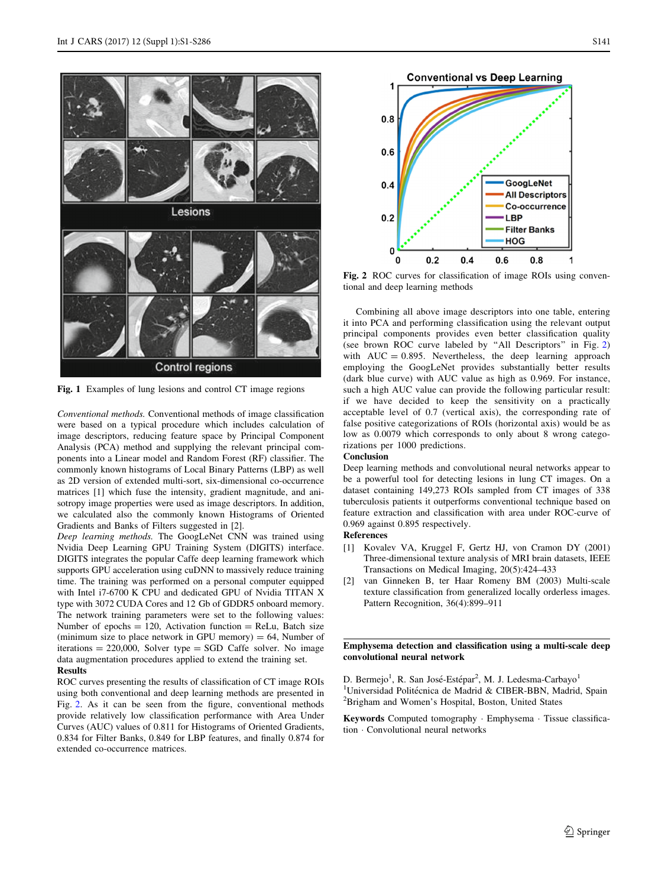

Fig. 1 Examples of lung lesions and control CT image regions

Conventional methods. Conventional methods of image classification were based on a typical procedure which includes calculation of image descriptors, reducing feature space by Principal Component Analysis (PCA) method and supplying the relevant principal components into a Linear model and Random Forest (RF) classifier. The commonly known histograms of Local Binary Patterns (LBP) as well as 2D version of extended multi-sort, six-dimensional co-occurrence matrices [1] which fuse the intensity, gradient magnitude, and anisotropy image properties were used as image descriptors. In addition, we calculated also the commonly known Histograms of Oriented Gradients and Banks of Filters suggested in [2].

Deep learning methods. The GoogLeNet CNN was trained using Nvidia Deep Learning GPU Training System (DIGITS) interface. DIGITS integrates the popular Caffe deep learning framework which supports GPU acceleration using cuDNN to massively reduce training time. The training was performed on a personal computer equipped with Intel i7-6700 K CPU and dedicated GPU of Nvidia TITAN X type with 3072 CUDA Cores and 12 Gb of GDDR5 onboard memory. The network training parameters were set to the following values: Number of epochs  $= 120$ , Activation function  $=$  ReLu, Batch size (minimum size to place network in GPU memory)  $= 64$ , Number of iterations  $= 220,000$ , Solver type  $=$  SGD Caffe solver. No image data augmentation procedures applied to extend the training set.

# Results

ROC curves presenting the results of classification of CT image ROIs using both conventional and deep learning methods are presented in Fig. 2. As it can be seen from the figure, conventional methods provide relatively low classification performance with Area Under Curves (AUC) values of 0.811 for Histograms of Oriented Gradients, 0.834 for Filter Banks, 0.849 for LBP features, and finally 0.874 for extended co-occurrence matrices.



Fig. 2 ROC curves for classification of image ROIs using conventional and deep learning methods

Combining all above image descriptors into one table, entering it into PCA and performing classification using the relevant output principal components provides even better classification quality (see brown ROC curve labeled by ''All Descriptors'' in Fig. 2) with  $AUC = 0.895$ . Nevertheless, the deep learning approach employing the GoogLeNet provides substantially better results (dark blue curve) with AUC value as high as 0.969. For instance, such a high AUC value can provide the following particular result: if we have decided to keep the sensitivity on a practically acceptable level of 0.7 (vertical axis), the corresponding rate of false positive categorizations of ROIs (horizontal axis) would be as low as 0.0079 which corresponds to only about 8 wrong categorizations per 1000 predictions.

### **Conclusion**

Deep learning methods and convolutional neural networks appear to be a powerful tool for detecting lesions in lung CT images. On a dataset containing 149,273 ROIs sampled from CT images of 338 tuberculosis patients it outperforms conventional technique based on feature extraction and classification with area under ROC-curve of 0.969 against 0.895 respectively.

## References

- [1] Kovalev VA, Kruggel F, Gertz HJ, von Cramon DY (2001) Three-dimensional texture analysis of MRI brain datasets, IEEE Transactions on Medical Imaging, 20(5):424–433
- [2] van Ginneken B, ter Haar Romeny BM (2003) Multi-scale texture classification from generalized locally orderless images. Pattern Recognition, 36(4):899–911

# Emphysema detection and classification using a multi-scale deep convolutional neural network

D. Bermejo<sup>1</sup>, R. San José-Estépar<sup>2</sup>, M. J. Ledesma-Carbayo<sup>1</sup> <sup>1</sup>Universidad Politécnica de Madrid & CIBER-BBN, Madrid, Spain<br><sup>2</sup>Brigham and Woman's Hospital, Boston, United States <sup>2</sup>Brigham and Women's Hospital, Boston, United States

Keywords Computed tomography - Emphysema - Tissue classification - Convolutional neural networks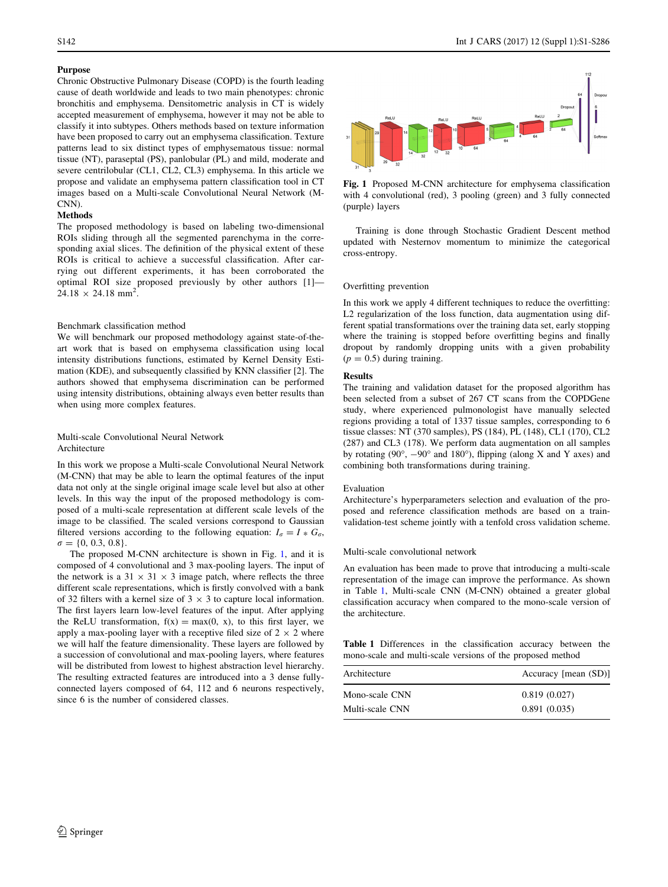# Purpose

Chronic Obstructive Pulmonary Disease (COPD) is the fourth leading cause of death worldwide and leads to two main phenotypes: chronic bronchitis and emphysema. Densitometric analysis in CT is widely accepted measurement of emphysema, however it may not be able to classify it into subtypes. Others methods based on texture information have been proposed to carry out an emphysema classification. Texture patterns lead to six distinct types of emphysematous tissue: normal tissue (NT), paraseptal (PS), panlobular (PL) and mild, moderate and severe centrilobular (CL1, CL2, CL3) emphysema. In this article we propose and validate an emphysema pattern classification tool in CT images based on a Multi-scale Convolutional Neural Network (M-CNN).

#### Methods

The proposed methodology is based on labeling two-dimensional ROIs sliding through all the segmented parenchyma in the corresponding axial slices. The definition of the physical extent of these ROIs is critical to achieve a successful classification. After carrying out different experiments, it has been corroborated the optimal ROI size proposed previously by other authors [1]—  $24.18 \times 24.18 \text{ mm}^2$ .

#### Benchmark classification method

We will benchmark our proposed methodology against state-of-theart work that is based on emphysema classification using local intensity distributions functions, estimated by Kernel Density Estimation (KDE), and subsequently classified by KNN classifier [2]. The authors showed that emphysema discrimination can be performed using intensity distributions, obtaining always even better results than when using more complex features.

# Multi-scale Convolutional Neural Network Architecture

In this work we propose a Multi-scale Convolutional Neural Network (M-CNN) that may be able to learn the optimal features of the input data not only at the single original image scale level but also at other levels. In this way the input of the proposed methodology is composed of a multi-scale representation at different scale levels of the image to be classified. The scaled versions correspond to Gaussian filtered versions according to the following equation:  $I_{\sigma} = I * G_{\sigma}$ ,  $\sigma = \{0, 0.3, 0.8\}.$ 

The proposed M-CNN architecture is shown in Fig. 1, and it is composed of 4 convolutional and 3 max-pooling layers. The input of the network is a  $31 \times 31 \times 3$  image patch, where reflects the three different scale representations, which is firstly convolved with a bank of 32 filters with a kernel size of  $3 \times 3$  to capture local information. The first layers learn low-level features of the input. After applying the ReLU transformation,  $f(x) = max(0, x)$ , to this first layer, we apply a max-pooling layer with a receptive filed size of  $2 \times 2$  where we will half the feature dimensionality. These layers are followed by a succession of convolutional and max-pooling layers, where features will be distributed from lowest to highest abstraction level hierarchy. The resulting extracted features are introduced into a 3 dense fullyconnected layers composed of 64, 112 and 6 neurons respectively, since 6 is the number of considered classes.



Fig. 1 Proposed M-CNN architecture for emphysema classification with 4 convolutional (red), 3 pooling (green) and 3 fully connected (purple) layers

Training is done through Stochastic Gradient Descent method updated with Nesternov momentum to minimize the categorical cross-entropy.

#### Overfitting prevention

In this work we apply 4 different techniques to reduce the overfitting: L2 regularization of the loss function, data augmentation using different spatial transformations over the training data set, early stopping where the training is stopped before overfitting begins and finally dropout by randomly dropping units with a given probability  $(p = 0.5)$  during training.

#### Results

The training and validation dataset for the proposed algorithm has been selected from a subset of 267 CT scans from the COPDGene study, where experienced pulmonologist have manually selected regions providing a total of 1337 tissue samples, corresponding to 6 tissue classes: NT (370 samples), PS (184), PL (148), CL1 (170), CL2 (287) and CL3 (178). We perform data augmentation on all samples by rotating (90 $^{\circ}$ ,  $-90^{\circ}$  and 180 $^{\circ}$ ), flipping (along X and Y axes) and combining both transformations during training.

## Evaluation

Architecture's hyperparameters selection and evaluation of the proposed and reference classification methods are based on a trainvalidation-test scheme jointly with a tenfold cross validation scheme.

#### Multi-scale convolutional network

An evaluation has been made to prove that introducing a multi-scale representation of the image can improve the performance. As shown in Table 1, Multi-scale CNN (M-CNN) obtained a greater global classification accuracy when compared to the mono-scale version of the architecture.

Table 1 Differences in the classification accuracy between the mono-scale and multi-scale versions of the proposed method

| Architecture    | Accuracy [mean (SD)] |
|-----------------|----------------------|
| Mono-scale CNN  | 0.819(0.027)         |
| Multi-scale CNN | 0.891(0.035)         |